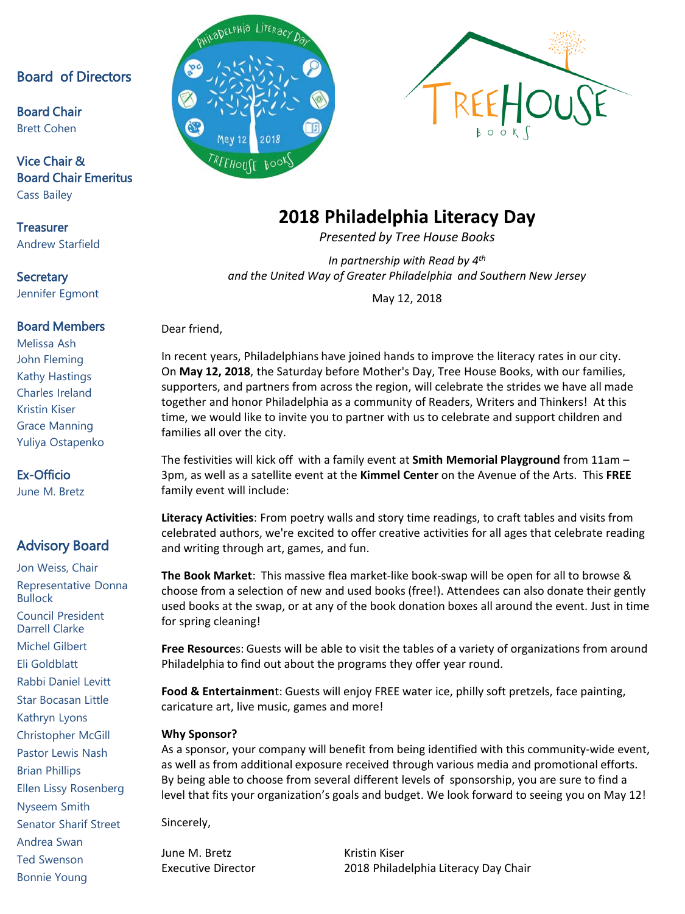#### Board of Directors

Board Chair Brett Cohen

#### Vice Chair & Board Chair Emeritus Cass Bailey

**Treasurer** Andrew Starfield

#### **Secretary** Jennifer Egmont

#### Board Members

Melissa Ash John Fleming Kathy Hastings Charles Ireland Kristin Kiser Grace Manning Yuliya Ostapenko

#### Ex-Officio

June M. Bretz

### Advisory Board

Jon Weiss, Chair Representative Donna Bullock Council President Darrell Clarke Michel Gilbert Eli Goldblatt Rabbi Daniel Levitt Star Bocasan Little Kathryn Lyons Christopher McGill Pastor Lewis Nash Brian Phillips Ellen Lissy Rosenberg Nyseem Smith Senator Sharif Street Andrea Swan Ted Swenson

Bonnie Young





## **2018 Philadelphia Literacy Day**

*Presented by Tree House Books*

*In partnership with Read by 4th and the United Way of Greater Philadelphia and Southern New Jersey*

May 12, 2018

Dear friend,

In recent years, Philadelphians have joined hands to improve the literacy rates in our city. On **May 12, 2018**, the Saturday before Mother's Day, Tree House Books, with our families, supporters, and partners from across the region, will celebrate the strides we have all made together and honor Philadelphia as a community of Readers, Writers and Thinkers! At this time, we would like to invite you to partner with us to celebrate and support children and families all over the city.

The festivities will kick off with a family event at **Smith Memorial Playground** from 11am – 3pm, as well as a satellite event at the **Kimmel Center** on the Avenue of the Arts. This **FREE**  family event will include:

**Literacy Activities**: From poetry walls and story time readings, to craft tables and visits from celebrated authors, we're excited to offer creative activities for all ages that celebrate reading and writing through art, games, and fun.

**The Book Market**: This massive flea market-like book-swap will be open for all to browse & choose from a selection of new and used books (free!). Attendees can also donate their gently used books at the swap, or at any of the book donation boxes all around the event. Just in time for spring cleaning!

**Free Resource**s: Guests will be able to visit the tables of a variety of organizations from around Philadelphia to find out about the programs they offer year round.

**Food & Entertainmen**t: Guests will enjoy FREE water ice, philly soft pretzels, face painting, caricature art, live music, games and more!

#### **Why Sponsor?**

As a sponsor, your company will benefit from being identified with this community-wide event, as well as from additional exposure received through various media and promotional efforts. By being able to choose from several different levels of sponsorship, you are sure to find a level that fits your organization's goals and budget. We look forward to seeing you on May 12!

Sincerely,

June M. Bretz **Kristin Kiser** 

Executive Director 2018 Philadelphia Literacy Day Chair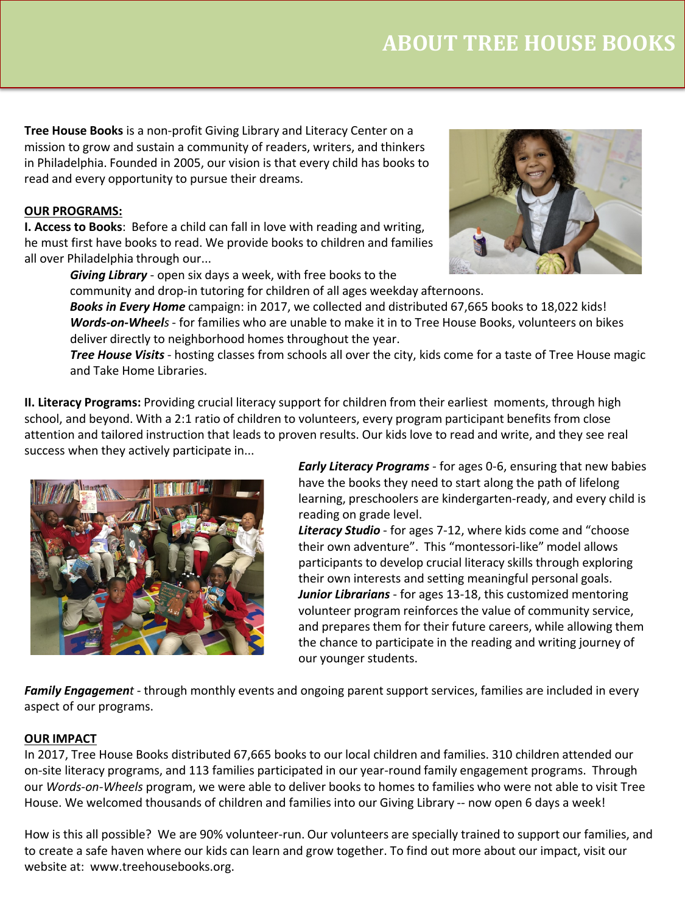**Tree House Books** is a non-profit Giving Library and Literacy Center on a mission to grow and sustain a community of readers, writers, and thinkers in Philadelphia. Founded in 2005, our vision is that every child has books to read and every opportunity to pursue their dreams.

#### **OUR PROGRAMS:**

**I. Access to Books**: Before a child can fall in love with reading and writing, he must first have books to read. We provide books to children and families all over Philadelphia through our...

*Giving Library* - open six days a week, with free books to the



community and drop-in tutoring for children of all ages weekday afternoons.

*Books in Every Home* campaign: in 2017, we collected and distributed 67,665 books to 18,022 kids! *Words-on-Wheels*- for families who are unable to make it in to Tree House Books, volunteers on bikes deliver directly to neighborhood homes throughout the year.

*Tree House Visits* - hosting classes from schools all over the city, kids come for a taste of Tree House magic and Take Home Libraries.

**II. Literacy Programs:** Providing crucial literacy support for children from their earliest moments, through high school, and beyond. With a 2:1 ratio of children to volunteers, every program participant benefits from close attention and tailored instruction that leads to proven results. Our kids love to read and write, and they see real success when they actively participate in...



*Early Literacy Programs* - for ages 0-6, ensuring that new babies have the books they need to start along the path of lifelong learning, preschoolers are kindergarten-ready, and every child is reading on grade level.

*Literacy Studio* - for ages 7-12, where kids come and "choose their own adventure". This "montessori-like" model allows participants to develop crucial literacy skills through exploring their own interests and setting meaningful personal goals. *Junior Librarians* - for ages 13-18, this customized mentoring volunteer program reinforces the value of community service, and prepares them for their future careers, while allowing them the chance to participate in the reading and writing journey of our younger students.

*Family Engagement* - through monthly events and ongoing parent support services, families are included in every aspect of our programs.

#### **OUR IMPACT**

In 2017, Tree House Books distributed 67,665 books to our local children and families. 310 children attended our on-site literacy programs, and 113 families participated in our year-round family engagement programs. Through our *Words-on-Wheels* program, we were able to deliver books to homes to families who were not able to visit Tree House. We welcomed thousands of children and families into our Giving Library -- now open 6 days a week!

How is this all possible? We are 90% volunteer-run. Our volunteers are specially trained to support our families, and to create a safe haven where our kids can learn and grow together. To find out more about our impact, visit our website at: www.treehousebooks.org.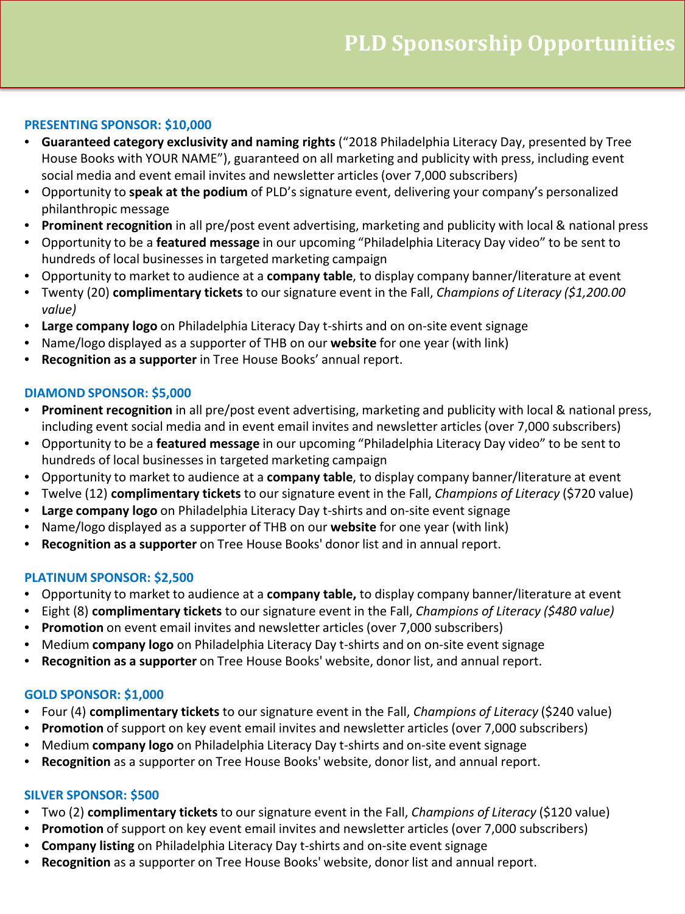#### **PRESENTING SPONSOR: \$10,000**

- **Guaranteed category exclusivity and naming rights** ("2018 Philadelphia Literacy Day, presented by Tree House Books with YOUR NAME"), guaranteed on all marketing and publicity with press, including event social media and event email invites and newsletter articles (over 7,000 subscribers)
- Opportunity to **speak at the podium** of PLD's signature event, delivering your company's personalized philanthropic message
- **Prominent recognition** in all pre/post event advertising, marketing and publicity with local & national press
- Opportunity to be a **featured message** in our upcoming "Philadelphia Literacy Day video" to be sent to hundreds of local businesses in targeted marketing campaign
- Opportunity to market to audience at a **company table**, to display company banner/literature at event
- Twenty (20) **complimentary tickets** to our signature event in the Fall, *Champions of Literacy (\$1,200.00 value)*
- **Large company logo** on Philadelphia Literacy Day t-shirts and on on-site event signage
- Name/logo displayed as a supporter of THB on our **website** for one year (with link)
- **Recognition as a supporter** in Tree House Books' annual report.

#### **DIAMOND SPONSOR: \$5,000**

- **Prominent recognition** in all pre/post event advertising, marketing and publicity with local & national press, including event social media and in event email invites and newsletter articles (over 7,000 subscribers)
- Opportunity to be a **featured message** in our upcoming "Philadelphia Literacy Day video" to be sent to hundreds of local businesses in targeted marketing campaign
- Opportunity to market to audience at a **company table**, to display company banner/literature at event
- Twelve (12) **complimentary tickets** to our signature event in the Fall, *Champions of Literacy* (\$720 value)
- **Large company logo** on Philadelphia Literacy Day t-shirts and on-site event signage
- Name/logo displayed as a supporter of THB on our **website** for one year (with link)
- **Recognition as a supporter** on Tree House Books' donor list and in annual report.

#### **PLATINUM SPONSOR: \$2,500**

- Opportunity to market to audience at a **company table,** to display company banner/literature at event
- Eight (8) **complimentary tickets** to our signature event in the Fall, *Champions of Literacy (\$480 value)*
- **Promotion** on event email invites and newsletter articles (over 7,000 subscribers)
- Medium **company logo** on Philadelphia Literacy Day t-shirts and on on-site event signage
- **Recognition as a supporter** on Tree House Books' website, donor list, and annual report.

#### **GOLD SPONSOR: \$1,000**

- Four (4) **complimentary tickets** to our signature event in the Fall, *Champions of Literacy* (\$240 value)
- **Promotion** of support on key event email invites and newsletter articles (over 7,000 subscribers)
- Medium **company logo** on Philadelphia Literacy Day t-shirts and on-site event signage
- **Recognition** as a supporter on Tree House Books' website, donor list, and annual report.

#### **SILVER SPONSOR: \$500**

- Two (2) **complimentary tickets** to our signature event in the Fall, *Champions of Literacy* (\$120 value)
- **Promotion** of support on key event email invites and newsletter articles (over 7,000 subscribers)
- **Company listing** on Philadelphia Literacy Day t-shirts and on-site event signage
- **Recognition** as a supporter on Tree House Books' website, donor list and annual report.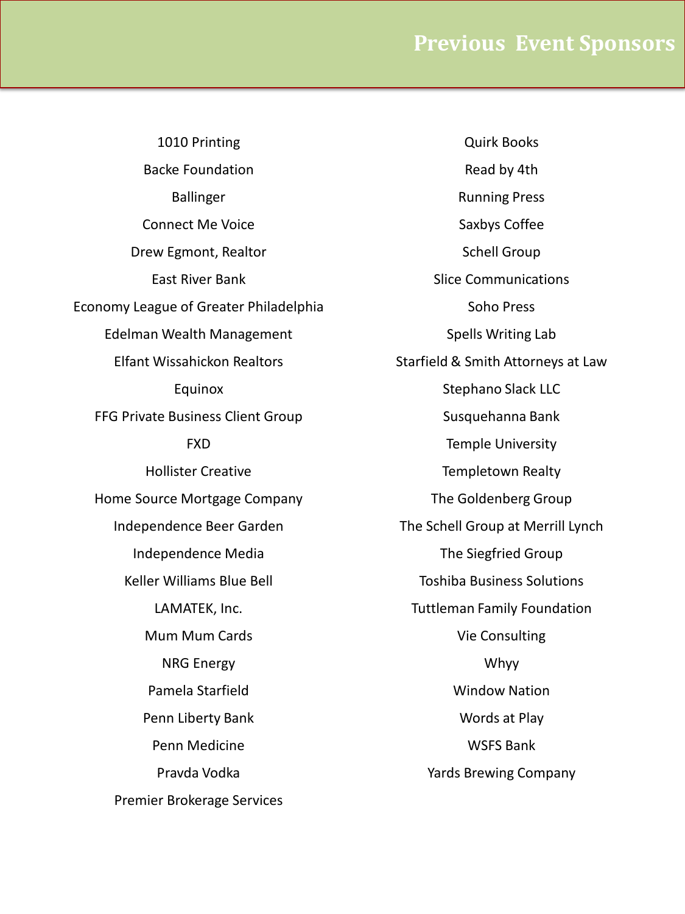1010 Printing Backe Foundation Ballinger Connect Me Voice Drew Egmont, Realtor East River Bank Economy League of Greater Philadelphia Edelman Wealth Management Elfant Wissahickon Realtors Equinox FFG Private Business Client Group FXD Hollister Creative Home Source Mortgage Company Independence Beer Garden Independence Media Keller Williams Blue Bell LAMATEK, Inc. Mum Mum Cards NRG Energy Pamela Starfield Penn Liberty Bank Penn Medicine Pravda Vodka Premier Brokerage Services

Quirk Books Read by 4th Running Press Saxbys Coffee Schell Group Slice Communications Soho Press Spells Writing Lab Starfield & Smith Attorneys at Law Stephano Slack LLC Susquehanna Bank Temple University Templetown Realty The Goldenberg Group The Schell Group at Merrill Lynch The Siegfried Group Toshiba Business Solutions Tuttleman Family Foundation Vie Consulting Whyy Window Nation Words at Play WSFS Bank Yards Brewing Company